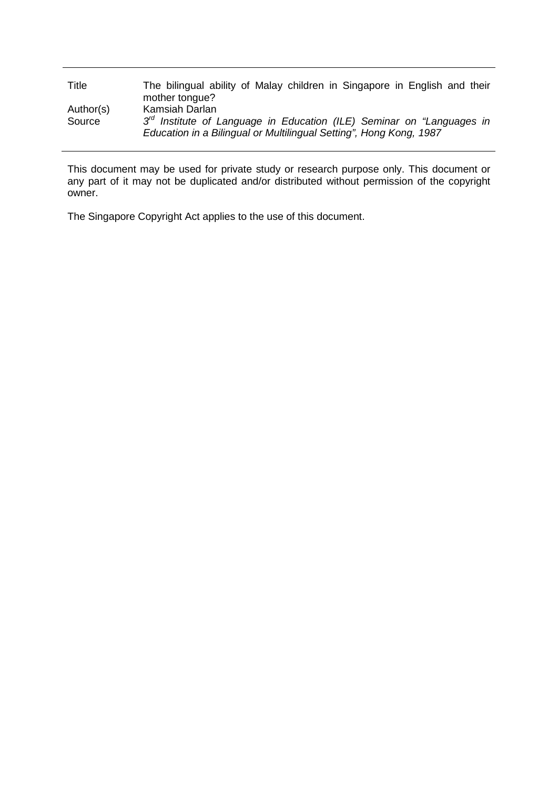| Title     | The bilingual ability of Malay children in Singapore in English and their<br>mother tongue?                                                   |
|-----------|-----------------------------------------------------------------------------------------------------------------------------------------------|
| Author(s) | Kamsiah Darlan                                                                                                                                |
| Source    | $3rd$ Institute of Language in Education (ILE) Seminar on "Languages in<br>Education in a Bilingual or Multilingual Setting", Hong Kong, 1987 |

This document may be used for private study or research purpose only. This document or any part of it may not be duplicated and/or distributed without permission of the copyright owner.

The Singapore Copyright Act applies to the use of this document.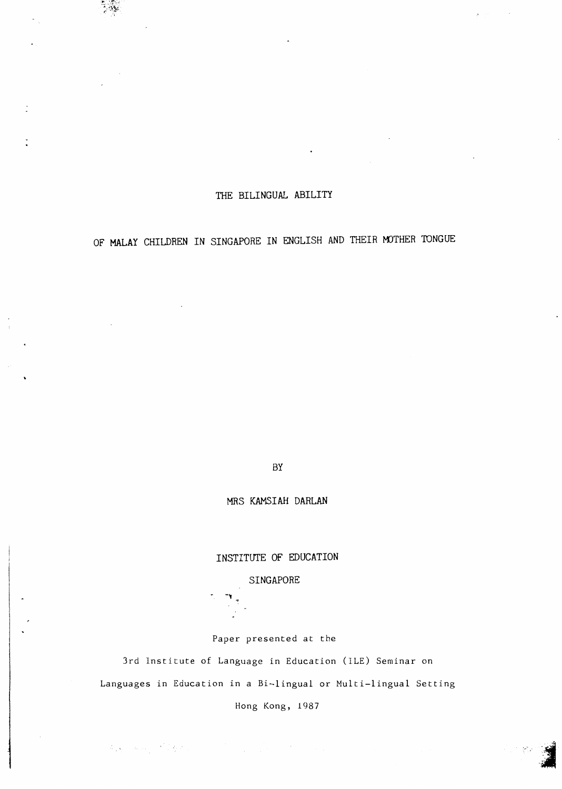## THE BILINGUAL ABILITY

**پوهن** ک

# OF **MALAY** CHILDREN IN SINGAPORE IN ENGLISH AND THEIR MOTHER TONGUE

BY

MRS KAMSIAH DARLAN

## INSTITUTE OF EDUCATION

### SINGAPORE

-..

 $\label{eq:2.1} \mathcal{L}_{\mathcal{L}}(\mathbf{x}_i) = \mathcal{L}_{\mathcal{L}}(\mathbf{x}_i) = \mathcal{L}_{\mathcal{L}}(\mathbf{x}_i)$ 

Paper presented at the

3rd Institute of Language in Education (ILE) Seminar on Languages in Education in a Bi-lingual or Multi-lingual Setting

Hong Kong, 1987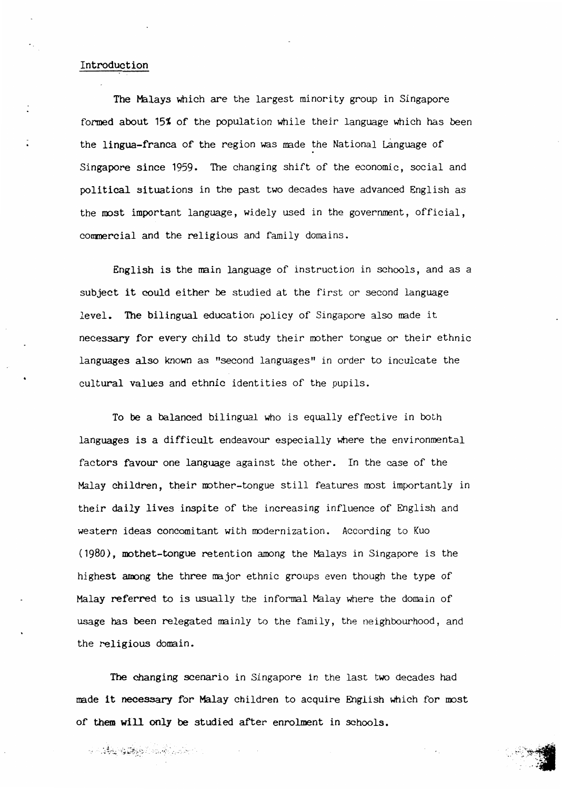#### Introduction

The Malays which are the largest minority group in Singapore formed about 15% of the population while their language which has been the lingua-franca of the region was made the National Language of Singapore since 1959. The changing shift of the economic, social and political situations in the past two decades have advanced English as the most important language, widely used in the government, official, commercial and the religious and family domains.

English is the main language of instruction in schools, and as a subject it could either be studied at the first or second language level. The bilingual education policy of Singapore also made it necessary for every child to study their mother tongue or their ethnic languages also known as "second languages" in order to inculcate the cultural values and ethnic identities of the pupils.

To be a balanced bilingual who is equally effective in both languages is a difficult endeavour especially where the environmental factors favour one language against the other. In the case of the Malay children, their mother-tongue still features most importantly in their daily lives inspite of the increasing influence of English and western ideas concomitant with modernization. According to Kuo (1980), mothet-tongue retention among the Malays in Singapore is the highest among the three major ethnic groups even though the type of Malay referred to is usually the informal Malay where the domain of usage has been relegated mainly to the family, the neighbourhood, and the religious domain.

The changing scenario in Singapore in the last two decades had made it necessary for Malay children to acquire English which for most of them will only be studied after enrolment in schools.

An Song Company of the Company of the Company of the Company of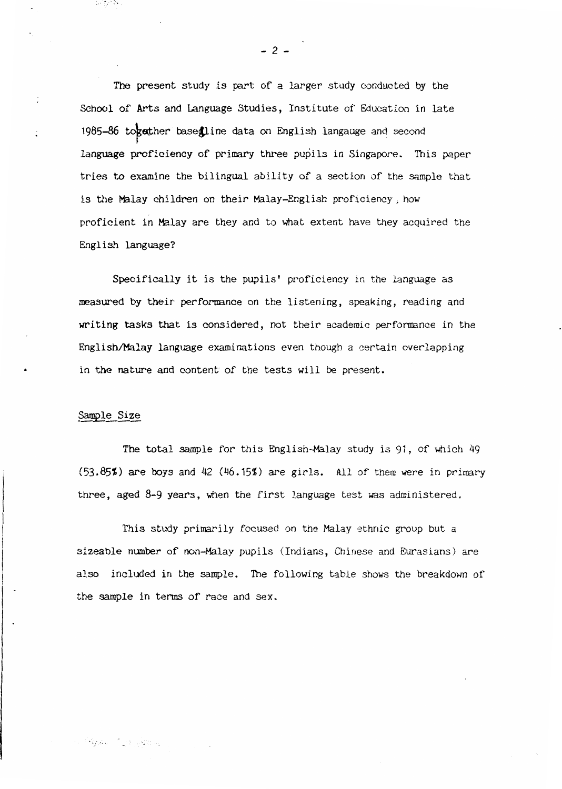The present study is part of a larger study conducted by the School of Arts and Language Studies, Institute of Education in late 1985-86 together base@line data on English langauge and second language proficiency of primary three pupils in Singapore. This paper tries to examine the bilingual ability of a section of the sample that is the Malay children on their Malay-English proficiency, how proficient in Malay are they and to what extent have they acquired the English language?

Specifically it is the pupils' proficiency in the language as measured by their performance on the listening, speaking, reading and writing tasks that is considered, not their academic performance in the English/Malay language examinations even though a certain overlapping in the nature and content of the tests will be present.

#### Sample Size

ිමුණ රඳවැනි ස

te terito

The total sample for this English-Malay study is 91, of which 49 (53.85%) are boys and 42 (46.15%) are girls. All of them were in primary three, aged 8-9 years, when the first language test was administered.

This study primarily focused on the Malay ethnic group but a sizeable number of non-Malay pupils (Indians, Chinese and Eurasians) are also included in the sample. The following table shows the breakdown of the sample in terms of race and sex.

- 2 -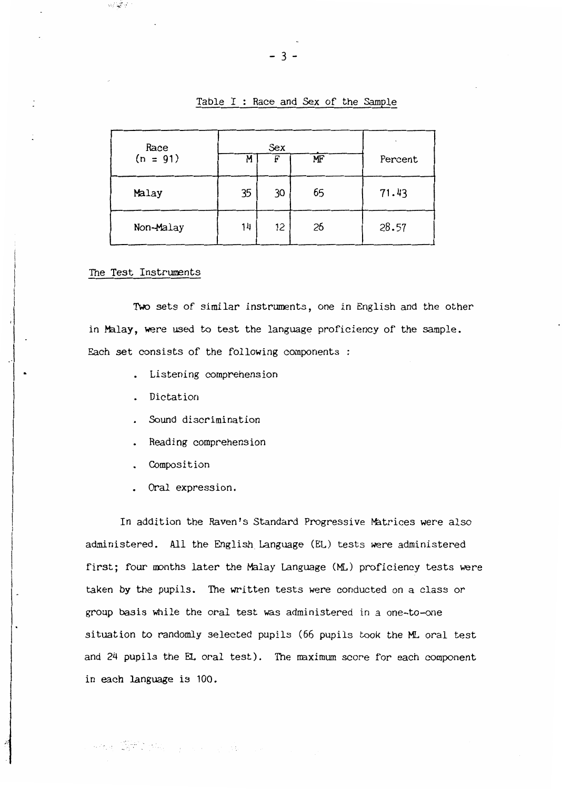Table  $I$  : Race and Sex of the Sample

| Race<br>$(n = 91)$ | M  | Sex<br>F | MF | Percent |
|--------------------|----|----------|----|---------|
| Malay              | 35 | 30       | 65 | 71.43   |
| Non-Malay          | 14 | 12       | 26 | 28.57   |

The Test Instruments

-:.· . ..,.,

Two sets of similar instruments, one in English and the other in Malay, were used to test the language proficiency of the sample. Each set consists of the following components :

- Listening comprehension
- Dictation
- Sound discrimination
- . Reading comprehension
- Composition

 $\label{eq:2.1} \mathcal{H}^{\mathcal{A}}_{\mathcal{A}}(\mathbf{x})=\sum_{i=1}^n\sum_{i=1}^n\mathcal{H}^{\mathcal{A}}_{\mathcal{A}}(\mathbf{x})\mathcal{H}^{\mathcal{A}}_{\mathcal{A}}(\mathbf{x})\qquad \qquad \mathcal{H}^{\mathcal{A}}_{\mathcal{A}}(\mathbf{x})=\sum_{i=1}^n\sum_{i=1}^n\mathcal{H}^{\mathcal{A}}_{\mathcal{A}}(\mathbf{x})\mathcal{H}^{\mathcal{A}}_{\mathcal{A}}(\mathbf{x})\qquad \qquad \mathcal{H}^{\mathcal{A}}$ 

Oral expression.

In addition the Raven's Standard Progressive Matrices were also administered. All the English\_ Language (EL) tests were administered first; four months later the Malay Language (ML) proficiency tests were taken by the pupils. The written tests were conducted on a class or group basis while the oral test was administered in a one-to-one situation to randomly selected pupils (66 pupils took the ML oral test and 24 pupils the EL oral test). The maximum score for each component in each language is 100.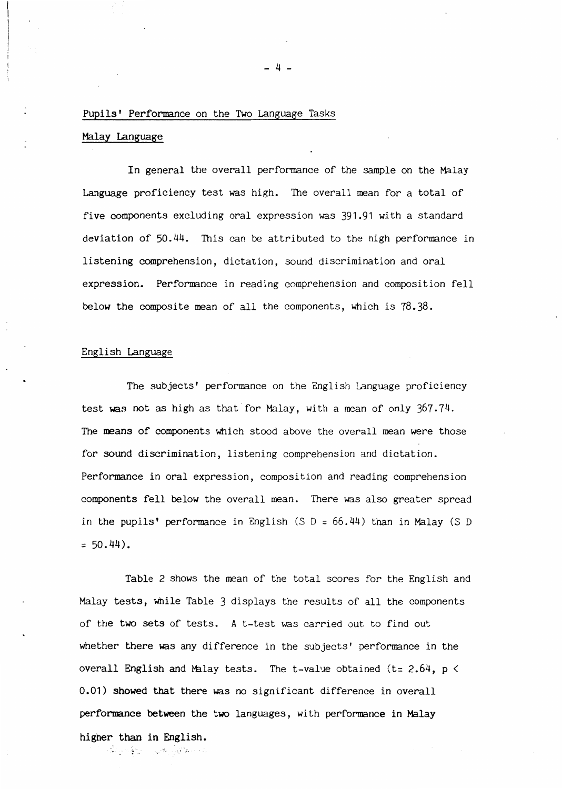#### Pupils' Performance on the Two Language Tasks

#### Malay Language

In general the overall performance of the sample on the Malay Language proficiency test was high. The overall mean for a total of five components excluding oral expression was 391.91 with a standard deviation of 50.44. This can be attributed to the high performance in listening comprehension, dictation, sound discrimination and oral expression. Performance in reading comprehension and composition fell below the composite mean of all the components, which is 78.38.

#### English Language

အိပ္ အိန္နိုင္ငံေျပာင္းေတြေပး ပါ

The subjects' performance on the English Language proficiency test was not as high as that for Malay, with a mean of only 367.74. The means of components which stood above the overall mean were those for sound discrimination, listening comprehension and dictation. Performance in oral expression, composition and reading comprehension components fell below the overall mean. There was also greater spread in the pupils' performance in English (S  $D = 66.44$ ) than in Malay (S D  $= 50.44$ .

Table 2 shows the mean of the total scores for the English and Malay tests, while Table 3 displays the results of all the components of the two sets of tests. A t-test was carried out to find out whether there was any difference in the subjects' performance in the overall English and Malay tests. The t-value obtained (t=  $2.64$ , p  $\le$ 0.01) showed that there was no significant difference in overall performance between the two languages, with performance in Malay higher than in English.

 $-$  4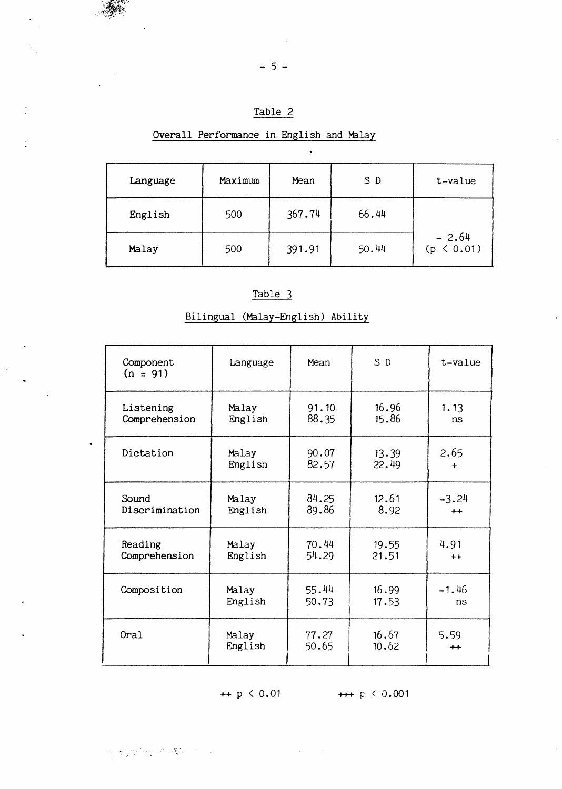Table 2

Overall Performance in English and Malay

| Language | Maximum | Mean   | S D   | t-value               |
|----------|---------|--------|-------|-----------------------|
| English  | 500     | 367.74 | 66.44 |                       |
| Malay    | 500     | 391.91 | 50.44 | $-2.64$<br>(p < 0.01) |

 $\ddot{\phantom{a}}$ 

## Table 3

## Bilingual (Malay-English) Ability

| Component<br>$(n = 91)$ | Language | Mean  | S D   | t-value |
|-------------------------|----------|-------|-------|---------|
| Listening               | Malay    | 91.10 | 16.96 | 1.13    |
| Comprehension           | English  | 88.35 | 15.86 | ns      |
| Dictation               | Malay    | 90.07 | 13.39 | 2.65    |
|                         | English  | 82.57 | 22.49 | +       |
| Sound                   | Malay    | 84.25 | 12.61 | $-3.24$ |
| Discrimination          | English  | 89.86 | 8.92  | $++$    |
| Reading                 | Malay    | 70.44 | 19.55 | 4.91    |
| Comprehension           | English  | 54.29 | 21.51 | $+$     |
| Composition             | Malay    | 55.44 | 16.99 | $-1.46$ |
|                         | English  | 50.73 | 17.53 | ns      |
| Oral                    | Malay    | 77.27 | 16.67 | 5.59    |
|                         | English  | 50.65 | 10.62 | $++$    |
|                         |          |       |       |         |

 $\sim 10^7$ 

 $+$  p < 0.01  $+$  + p < 0.001

 $-5 -$ 

Ċ

 $\hat{\mathcal{L}}$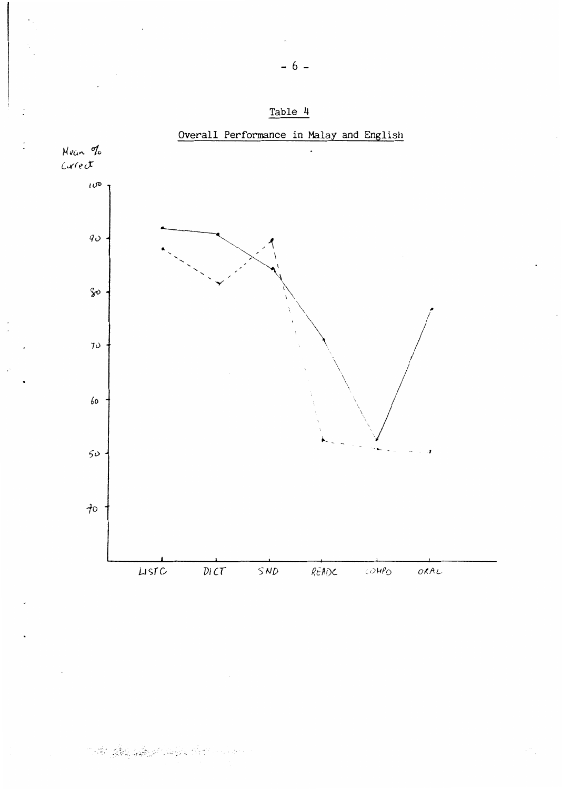



# the state of the state of the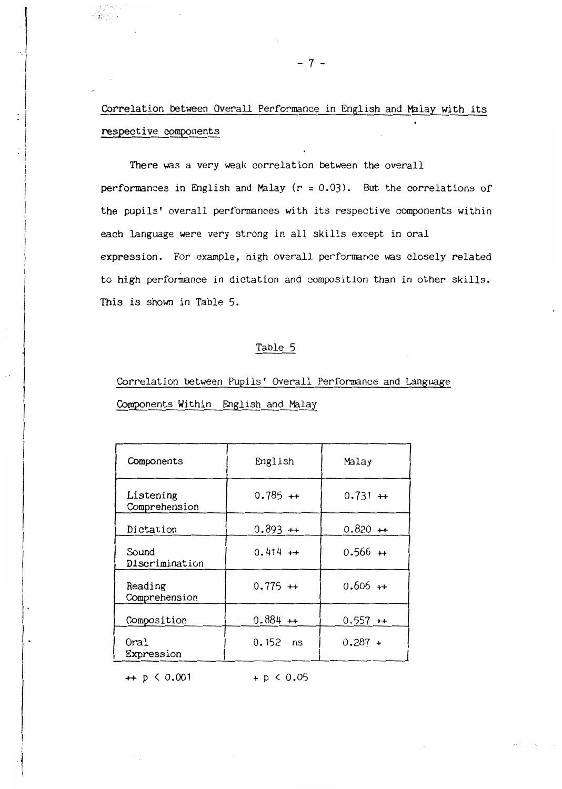## Correlation between Overall Performance in English and Malay with its respective components

There was a very weak correlation between the overall performances in English and Malay  $(r = 0.03)$ . But the correlations of the pupils' overall performances with its respective components within each language were very strong in all skills except in oral expression. For example, high overall performance was closely related to high performance in dictation and composition than in other skills. This is shown in Table 5.

## Table 5

# Correlation between Pupils' Overall Performance and Language Components Within English and Malay

| Components                 | English    | Malay     |
|----------------------------|------------|-----------|
| Listening<br>Comprehension | $0.785 +$  | $0.731 +$ |
| Dictation                  | $0.893 +$  | $0.820 +$ |
| Sound<br>Discrimination    | $0.414 +$  | $0.566 +$ |
| Reading<br>Comprehension   | $0.775 +$  | $0.606 +$ |
| Composition                | $0.884 +$  | $0.557 +$ |
| Oral<br>Expression         | $0.152$ ns | $0.287 +$ |

 $+$  p < 0.001  $+$  p < 0.05

10. a  $\mathcal{L}(\mathcal{L}_{\mathcal{L}})$  .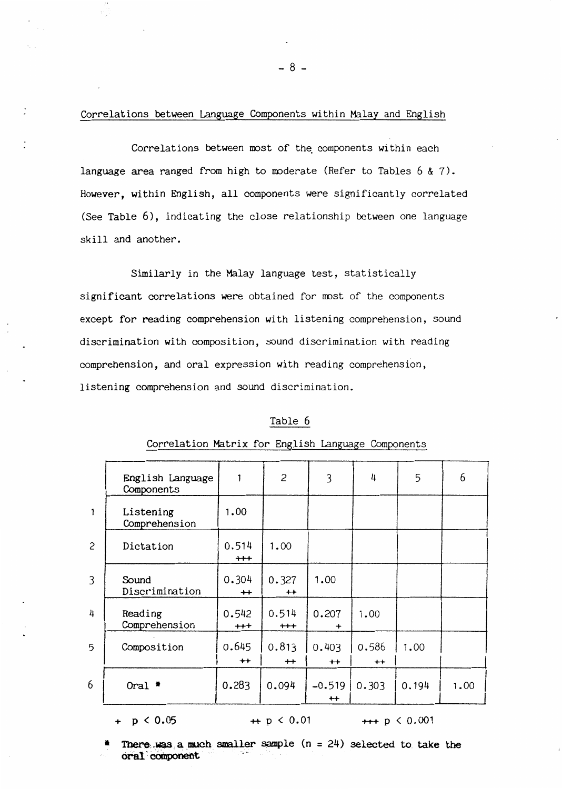Correlations between Language Components within Malay and English

Correlations between most of the components within each language area ranged from high to moderate (Refer to Tables  $6 \& 7$ ). However, within English, all components were significantly correlated (See Table 6), indicating the close relationship between one language skill and another.

Similarly in the Malay language test, statistically significant correlations were obtained for most of the components except for reading comprehension with listening comprehension, sound discrimination with composition, sound discrimination with reading comprehension, and oral expression with reading comprehension, listening comprehension and sound discrimination.

#### Table 6

|                | English Language<br>Components | 1                    | $\overline{c}$    | 3                      | 4             | 5     | 6    |
|----------------|--------------------------------|----------------------|-------------------|------------------------|---------------|-------|------|
| 1              | Listening<br>Comprehension     | 1.00                 |                   |                        |               |       |      |
| $\overline{c}$ | Dictation                      | 0.514<br>$^{\rm ++}$ | 1.00              |                        |               |       |      |
| $\overline{3}$ | Sound<br>Discrimination        | 0.304<br>$++$        | 0.327<br>$++$     | 1.00                   |               |       |      |
| 4              | Reading<br>Comprehension       | 0.542<br>$^{++}$     | 0.514<br>$^{+++}$ | 0.207<br>÷             | 1.00          |       |      |
| 5              | Composition                    | 0.645<br>$++$        | 0.813<br>$+$      | 0.403<br>$^{+}$        | 0.586<br>$++$ | 1.00  |      |
| 6              | Oral $*$                       | 0.283                | 0.094             | $-0.519$<br>$^{\bf +}$ | 0.303         | 0.194 | 1.00 |

#### Correlation Matrix for English Language Components

#### +  $p \le 0.05$

## $+ p < 0.01$

 $++$  p  $\leq 0.001$ 

There was a much smaller sample  $(n = 24)$  selected to take the oral component

 $-8-$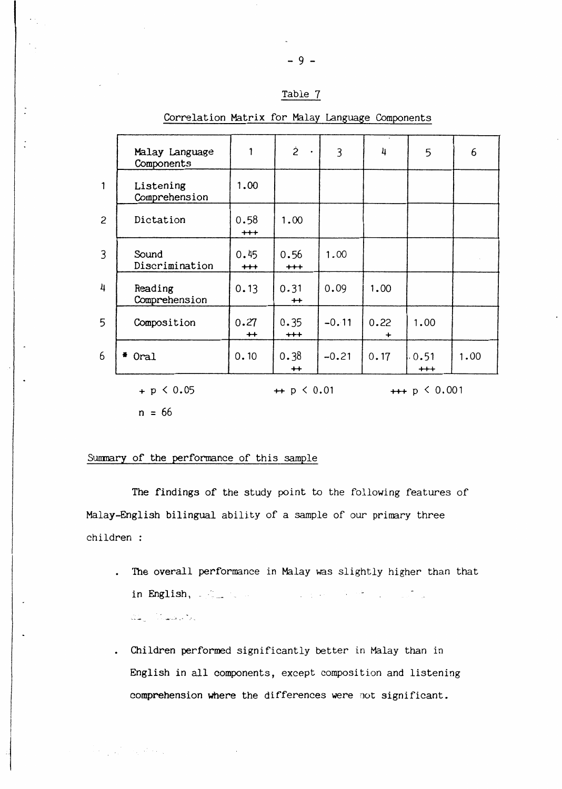## Table *1*

|                | Malay Language<br>Components |                 | $\dot{2}$<br>$\bullet$          | 3       | 4         | 5               | 6    |
|----------------|------------------------------|-----------------|---------------------------------|---------|-----------|-----------------|------|
| $\mathbf{1}$   | Listening<br>Comprehension   | 1.00            |                                 |         |           |                 |      |
| $\overline{c}$ | Dictation                    | 0.58<br>$+ + +$ | 1.00                            |         |           |                 |      |
| 3              | Sound<br>Discrimination      | 0.45<br>$+ +$   | 0.56<br>$^{\mathrm{+++}}$       | 1.00    |           |                 |      |
| 4              | Reading<br>Comprehension     | 0.13            | 0.31<br>$+$                     | 0.09    | 1.00      |                 |      |
| 5              | Composition                  | 0.27<br>$+$     | 0.35<br>$+$                     | $-0.11$ | 0.22<br>+ | 1.00            |      |
| 6              | Oral                         | 0.10            | 0.38<br>$^{+}$                  | $-0.21$ | 0.17      | 0.51<br>$^{++}$ | 1.00 |
|                | $+ p < 0.05$                 |                 | $\leftrightarrow$ p $\leq 0.01$ |         |           | $++ p 0.001$    |      |

### Correlation Matrix for Malay Language Components

 $\ddot{\cdot}$ 

 $n = 66$ 

 $\label{eq:2} \mathcal{F}(\mathcal{F}_{\mathcal{G}}^{\mathcal{G}}(\mathcal{F}_{\mathcal{G}}^{\mathcal{G}})) = \mathcal{F}_{\mathcal{G}}^{\mathcal{G}}(\mathcal{F}_{\mathcal{G}}^{\mathcal{G}}(\mathcal{F}_{\mathcal{G}}^{\mathcal{G}}))$ 

### Summary of the performance of this sample

The findings of the study point to the following features of Malay-English bilingual ability of a sample of our primary three children :

- The overall performance in Malay was slightly higher than that in English, a final contract that the contract of the contract of المعاطي والمستكرات المستقلة
- Children performed significantly better in Malay than in English in all components, except composition and listening comprehension where the differences were not significant.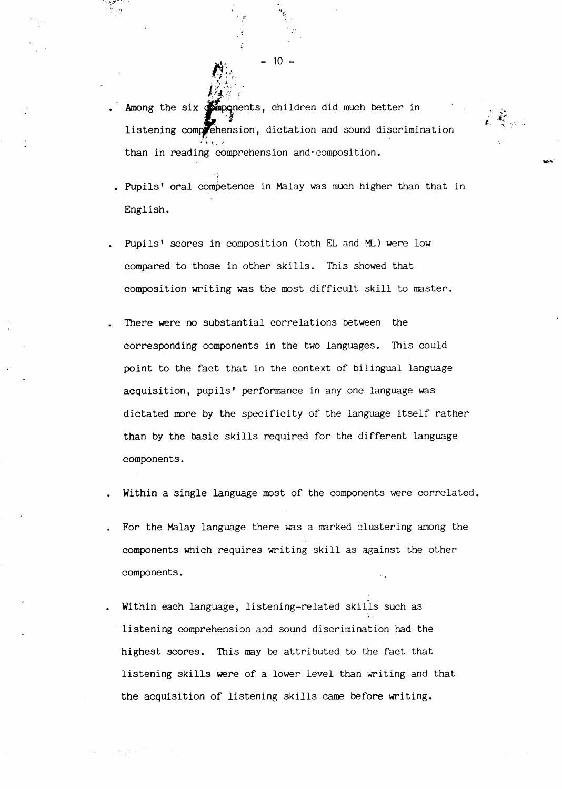Among the six **simpo**nents, children did much better in listening comprehension, dictation and sound discrimination  $~\cdot$   $~\cdot$   $~\cdot$   $~\cdot$   $~\cdot$   $~\cdot$   $~\cdot$   $~\cdot$   $~\cdot$   $~\cdot$   $~\cdot$   $~\cdot$   $~\cdot$   $~\cdot$   $~\cdot$   $~\cdot$   $~\cdot$   $~\cdot$   $~\cdot$   $~\cdot$   $~\cdot$   $~\cdot$   $~\cdot$   $~\cdot$   $~\cdot$   $~\cdot$   $~\cdot$   $~\cdot$   $~\cdot$   $~\cdot$   $~\cdot$   $~\cdot$   $~\cdot$   $~\cdot$   $~\cdot$   $~\cdot$   $~\cdot$ than in reading cOmprehension and·composition.

 $\vec{z}$ 

- . Pupils' oral competence in Malay was much higher than that in English.
- Pupils' scores in composition (both EL and ML) were low compared to those in other skills. This showed that composition writing was the most difficult skill to master.
- There were no substantial correlations between the corresponding components in the two languages. This could point to the fact that in the context of bilingual language acquisition, pupils' performance in any one language was dictated more by the specificity of the language itself rather than by the basic skills required for the different language components.
- Within a single language most of the components were correlated.
- For the Malay language there was a marked clustering among the components which requires writing skill as against the other components.
- Within each language, listening-related skills such as listening comprehension and sound discrimination had the highest scores. This may be attributed to the fact that listening skills were of a lower level than writing and that the acquisition of listening skills came before writing.

 $- 10 -$ 

,,

~·;  $N_{\rm c}^2/\gamma$ 

I

 $f_{\rm 2}$  . .

't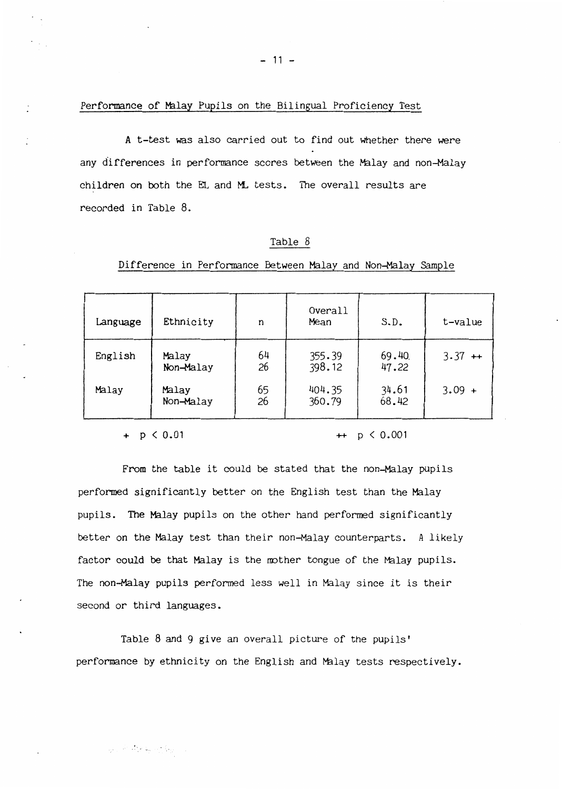$-11 -$ 

#### Performance of Malay Pupils on the Bilingual Proficiency Test

A t-test was also carried out to find out whether there were any differences in performance scores between the Malay and non-Malay children on both the EL and ML tests. The overall results are recorded in Table 8.

#### Table 8

| Language | Ethnicity          | n        | Overall<br>Mean  | S.D.           | t-value  |
|----------|--------------------|----------|------------------|----------------|----------|
| English  | Malay<br>Non-Malay | 64<br>26 | 355.39<br>398.12 | 69.40<br>47.22 | $3.37 +$ |
| Malay    | Malay<br>Non-Malay | 65<br>26 | 404.35<br>360.79 | 34.61<br>68.42 | $3.09 +$ |

#### Difference in Performance Between Malay and Non-Malay Sample

<sup>+</sup>p < 0.01 ++ p < 0.001

From the table it could be stated that the non-Malay pupils performed significantly better on the English test than the Malay pupils. The Malay pupils on the other hand performed significantly better on the Malay test than their non-Malay counterparts. A likely factor could be that Malay is the mother tongue of the Malay pupils. The non-Malay pupils performed less well in Malay since it is their second or third languages.

Table 8 and 9 give an overall picture of the pupils' performance by ethnicity on the English and Malay tests respectively.

第三章 查看 医牙科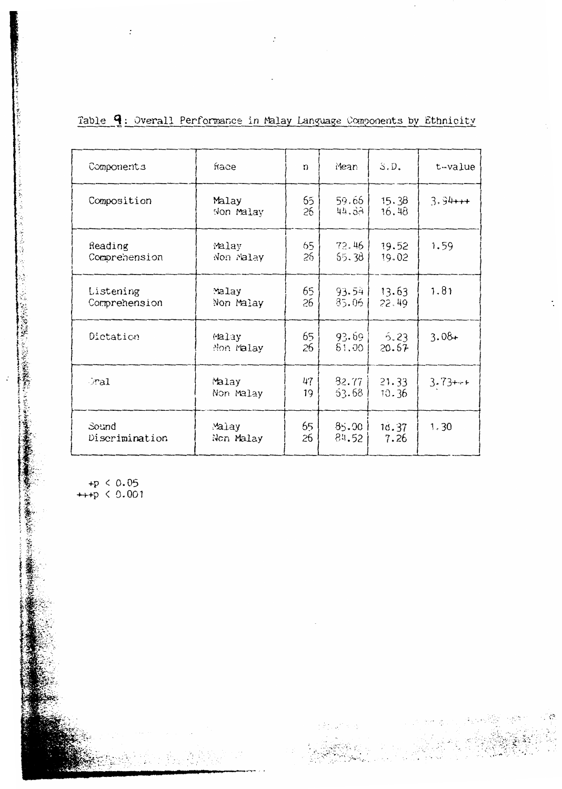| Table $\mathbf q$ : Overall Performance in Malay Language Components by Ethnicity |  |  |  |  |  |  |  |  |  |  |  |
|-----------------------------------------------------------------------------------|--|--|--|--|--|--|--|--|--|--|--|
|-----------------------------------------------------------------------------------|--|--|--|--|--|--|--|--|--|--|--|

 $\ddot{\cdot}$ 

| Components                 | frace              | n         | Mean           | S.D.           | t-value   |
|----------------------------|--------------------|-----------|----------------|----------------|-----------|
| Composition                | Malay<br>Non Malay | 65<br>26  | 59.65<br>44.33 | 15.38<br>16.48 | $3.94++$  |
| Reading<br>Comprehension   | Malay<br>Non Malay | 65<br>26  | 72.46<br>55.38 | 19.52<br>19.02 | 1.59      |
| Listening<br>Comprehension | Malay<br>Non Malay | 65.<br>26 | 93.54<br>85.06 | 13.63<br>22.49 | 1.81      |
| Dictation                  | Malay<br>Non malay | 65<br>26  | 93.69<br>81.00 | 5.23<br>20.67  | $3.08 +$  |
| Fal                        | Malay<br>Non Malay | 47<br>19  | 82.77<br>53.68 | 21.33<br>10.36 | $3.73***$ |
| Sound<br>Discrimination    | Malay<br>Non Malay | 65<br>26  | 85.00<br>84.52 | 18.37<br>7.26  | 1.30      |

+p < 0.05<br>++p < 0.001

 $\mathcal{E}_{\mathcal{V}}$ £ ð

ÿ

 $\cdot$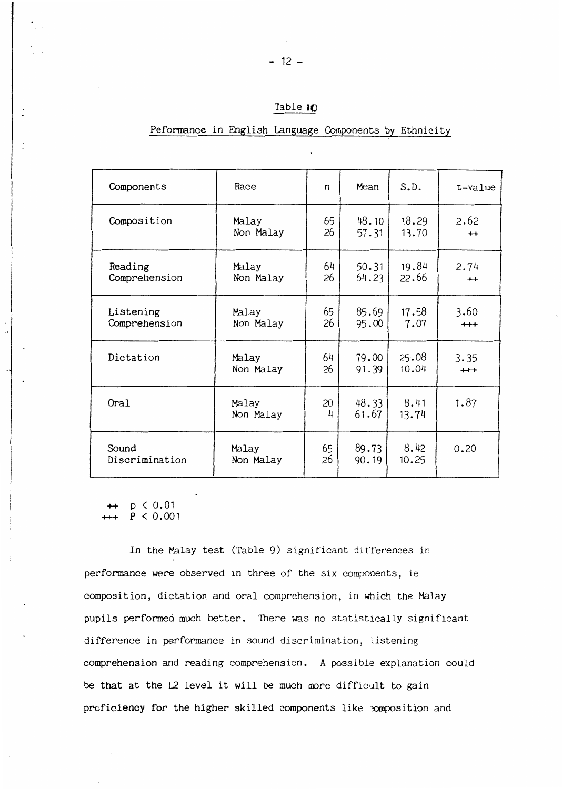## Table 10

## Peformance in English Language Components by Ethnicity

| Components     | Race               | n       | Mean           | S.D.          | t-value |
|----------------|--------------------|---------|----------------|---------------|---------|
| Composition    | Malay              | 65      | 48.10          | 18.29         | 2.62    |
|                | Non Malay          | 26      | 57.31          | 13.70         | $+$     |
| Reading        | Malay              | 64      | 50.31          | 19.84         | 2.74    |
| Comprehension  | Non Malay          | 26      | 64.23          | 22.66         | $+$     |
| Listening      | Malay              | 65      | 85.69          | 17.58         | 3.60    |
| Comprehension  | Non Malay          | 26      | 95.00          | 7.07          | $^{++}$ |
| Dictation      | Malay              | 64      | 79.00          | 25.08         | 3.35    |
|                | Non Malay          | 26      | 91.39          | 10.04         | $^{++}$ |
| Oral           | Malay<br>Non Malay | 20<br>4 | 48.33<br>61.67 | 8.41<br>13.74 | 1.87    |
| Sound          | Malay              | 65      | 89.73          | 8.42          | 0.20    |
| Discrimination | Non Malay          | 26      | 90.19          | 10.25         |         |

 $p < 0.01$  $P < 0.001$ 

In the Malay test (Table 9) significant differences in performance were observed in three of the six components, ie composition, dictation and oral comprehension, in which the Malay pupils performed much better. There was no statistically significant difference in performance in sound discrimination, listening comprehension and reading comprehension. A possible explanation could be that at the L2 level it will be much more difficult to gain proficiency for the higher skilled components like composition and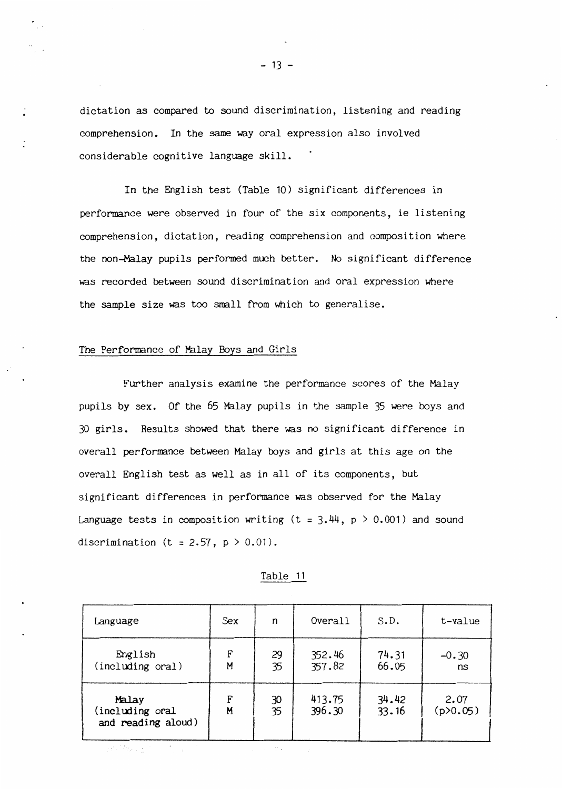dictation as compared to sound discrimination, listening and reading comprehension. In the same way oral expression also inyolved considerable cognitive language skill.

In the English test (Table 10) significant differences in performance were observed in four of the six components, ie listening comprehension, dictation, reading comprehension and composition where the non-Malay pupils performed much better. No significant difference was recorded between sound discrimination and oral expression where the sample size was too small from which to generalise.

#### The Performance of Malay Boys and Girls

Further analysis examine the performance scores of the Malay pupils by sex. Of the 65 Malay pupils in the sample 35 were boys and 30 girls. Results showed that there was no significant difference in overall performance between Malay boys and girls at this age on the overall English test as well as in all of its components, but significant differences in performance was observed for the Malay Language tests in composition writing (t =  $3.44$ , p > 0.001) and sound discrimination (t = 2.57,  $p > 0.01$ ).

| ani |  |
|-----|--|
|     |  |

| Language                                       | Sex.   | n        | Overall          | S.D.           | t-value          |
|------------------------------------------------|--------|----------|------------------|----------------|------------------|
| English<br>(including oral)                    | F<br>M | 29<br>35 | 352.46<br>357.82 | 74.31<br>66.05 | $-0.30$<br>ns    |
| Malay<br>(including oral<br>and reading aloud) | F<br>M | 30<br>35 | 413.75<br>396.30 | 34.42<br>33.16 | 2.07<br>(p>0.05) |

 $- 13 -$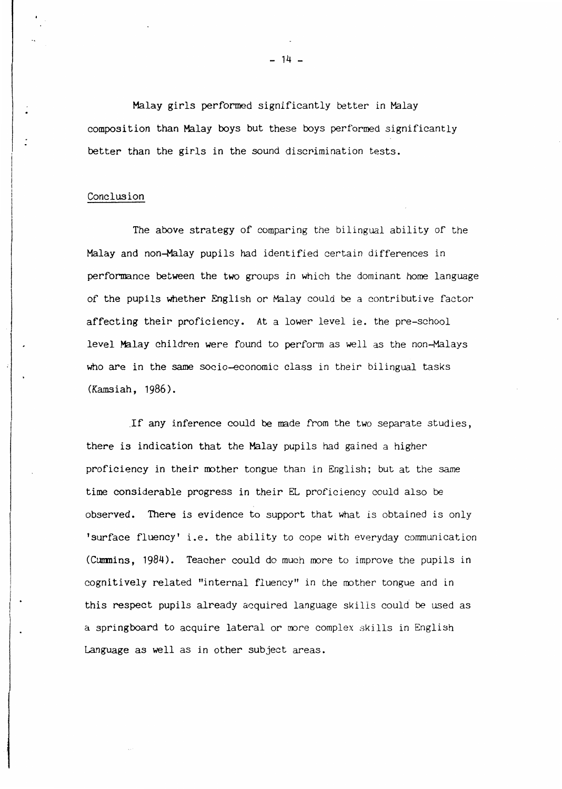Malay girls performed significantly better in Malay composition than Malay boys but these boys performed significantly better than the girls in the sound discrimination tests.

#### Conclusion

 $\vert \cdot \vert$ 

The above strategy of comparing the bilingual ability of the Malay and non-Malay pupils had identified certain differences in performance between the two groups in which the dominant home language of the pupils whether English or Malay could be a contributive factor affecting their proficiency. At a lower level ie. the pre-school level Malay children were found to perform as well as the non-Malays who are in the same socio-economic class in their bilingual tasks (Kamsiah, 1986) .

. If any inference could be made from the two separate studies, there is indication that the Malay pupils had gained a higher proficiency in their mother tongue than in English; but at the same time considerable progress in their EL proficiency could also be observed. There is evidence to support that what is obtained is only 'surface fluency' i.e. the ability to cope with everyday communication (Cummins, 1984). Teacher could do much more to improve the pupils in cognitively related "internal fluency" in the mother tongue and in this respect pupils already acquired language skills could be used as a springboard to acquire lateral or more complex skills in English Language as well as in other subject areas.

 $- 14 -$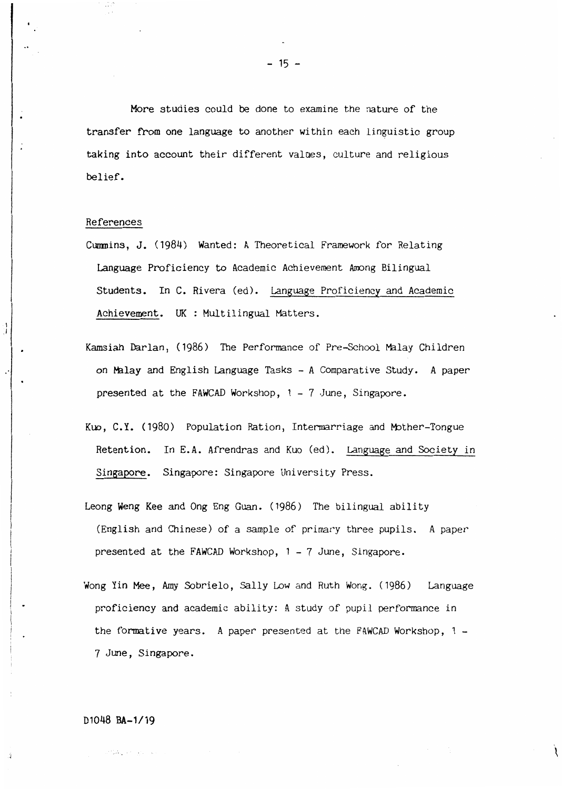More studies could be done to examine the nature of the transfer from one language to another within each linguistic group taking into account their different valaes, culture and religious belief.

#### References

 $\frac{1}{2}$ 

á

- Cummins, J. (1984) Wanted: A Theoretical Framework for Relating Language Proficiency to Academic Achievement Among Bilingual Students. In C. Rivera (ed). Language Proficiency and Academic Achievement. UK : Multilingual Matters.
- Kamsiah Darlan, (1986) The Performance of Pre~School Malay Children on Malay and English Language Tasks - A Comparative Study. A paper presented at the FAWCAD Workshop,  $1 - 7$  June, Singapore.
- Kuo, C.Y. (1980) Population Ration, Intermarriage and Mother-Tongue Retention. In E.A. Afrendras and Kuo (ed). Language and Society in Singapore. Singapore: Singapore University Press.
- Leong Weng Kee and Ong Eng Guan. (1986) The bilingual ability (English and Chinese) of a sample of primary three pupils. A paper presented at the FAWCAD Workshop, 1 - 7 June, Singapore.
- Wong Yin Mee, Amy Sobrielo, Sally Low and Ruth Wong. (1986) Language proficiency and academic ability: A study of pupil performance in the formative years. A paper presented at the FAWCAD Workshop, 1 - 7 June, Singapore.

#### D1048 BA-1/19